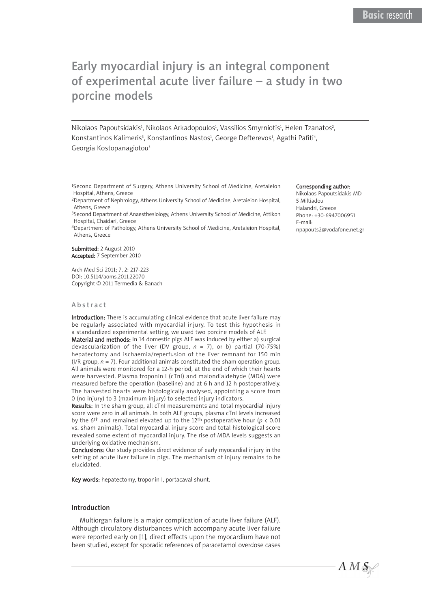# Early myocardial injury is an integral component of experimental acute liver failure – a study in two porcine models

Nikolaos Papoutsidakis<sup>1</sup>, Nikolaos Arkadopoulos<sup>1</sup>, Vassilios Smyrniotis<sup>1</sup>, Helen Tzanatos<sup>2</sup>, Konstantinos Kalimeris<sup>3</sup>, Konstantinos Nastos<sup>1</sup>, George Defterevos<sup>1</sup>, Agathi Pafiti<sup>4</sup>, Georgia Kostopanagiotou<sup>3</sup>

1Second Department of Surgery, Athens University School of Medicine, Aretaieion Hospital, Athens, Greece

2Department of Nephrology, Athens University School of Medicine, Aretaieion Hospital, Athens, Greece

3Second Department of Anaesthesiology, Athens University School of Medicine, Attikon Hospital, Chaidari, Greece

4Department of Pathology, Athens University School of Medicine, Aretaieion Hospital, Athens, Greece

#### Submitted: 2 August 2010 Accepted: 7 September 2010

Arch Med Sci 2011; 7, 2: 217-223 DOI: 10.5114/aoms.2011.22070 Copyright © 2011 Termedia & Banach

#### Abstract

Introduction: There is accumulating clinical evidence that acute liver failure may be regularly associated with myocardial injury. To test this hypothesis in a standardized experimental setting, we used two porcine models of ALF.

Material and methods: In 14 domestic pigs ALF was induced by either a) surgical devascularization of the liver (DV group, *n* = 7), or b) partial (70-75%) hepatectomy and ischaemia/reperfusion of the liver remnant for 150 min ( $I/R$  group,  $n = 7$ ). Four additional animals constituted the sham operation group. All animals were monitored for a 12-h period, at the end of which their hearts were harvested. Plasma troponin I (cTnI) and malondialdehyde (MDA) were measured before the operation (baseline) and at 6 h and 12 h postoperatively. The harvested hearts were histologically analysed, appointing a score from 0 (no injury) to 3 (maximum injury) to selected injury indicators.

Results: In the sham group, all cTnI measurements and total myocardial injury score were zero in all animals. In both ALF groups, plasma cTnI levels increased by the 6<sup>th</sup> and remained elevated up to the 12<sup>th</sup> postoperative hour ( $p < 0.01$ ) vs. sham animals). Total myocardial injury score and total histological score revealed some extent of myocardial injury. The rise of MDA levels suggests an underlying oxidative mechanism.

Conclusions: Our study provides direct evidence of early myocardial injury in the setting of acute liver failure in pigs. The mechanism of injury remains to be elucidated.

Key words: hepatectomy, troponin I, portacaval shunt.

#### Introduction

Multiorgan failure is a major complication of acute liver failure (ALF). Although circulatory disturbances which accompany acute liver failure were reported early on [1], direct effects upon the myocardium have not been studied, except for sporadic references of paracetamol overdose cases

#### Corresponding author:

Nikolaos Papoutsidakis MD 5 Miltiadou Halandri, Greece Phone: +30-6947006951 E-mail: npapouts2@vodafone.net.gr

 $AMS$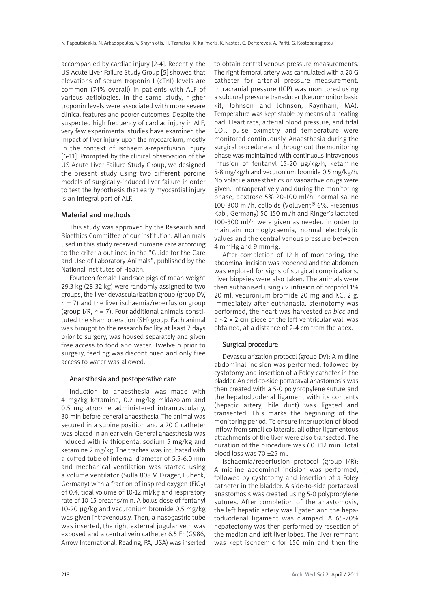accompanied by cardiac injury [2-4]. Recently, the US Acute Liver Failure Study Group [5] showed that elevations of serum troponin I (cTnI) levels are common (74% overall) in patients with ALF of various aetiologies. In the same study, higher troponin levels were associated with more severe clinical features and poorer outcomes. Despite the suspected high frequency of cardiac injury in ALF, very few experimental studies have examined the impact of liver injury upon the myocardium, mostly in the context of ischaemia-reperfusion injury [6-11]. Prompted by the clinical observation of the US Acute Liver Failure Study Group, we designed the present study using two different porcine models of surgically-induced liver failure in order to test the hypothesis that early myocardial injury is an integral part of ALF.

### Material and methods

This study was approved by the Research and Bioethics Committee of our institution. All animals used in this study received humane care according to the criteria outlined in the "Guide for the Care and Use of Laboratory Animals", published by the National Institutes of Health.

Fourteen female Landrace pigs of mean weight 29.3 kg (28-32 kg) were randomly assigned to two groups, the liver devascularization group (group DV,  $n = 7$ ) and the liver ischaemia/reperfusion group (group  $1/R$ ,  $n = 7$ ). Four additional animals constituted the sham operation (SH) group. Each animal was brought to the research facility at least 7 days prior to surgery, was housed separately and given free access to food and water. Twelve h prior to surgery, feeding was discontinued and only free access to water was allowed.

#### Anaesthesia and postoperative care

Induction to anaesthesia was made with 4 mg/kg ketamine, 0.2 mg/kg midazolam and 0.5 mg atropine administered intramuscularly, 30 min before general anaesthesia. The animal was secured in a supine position and a 20 G catheter was placed in an ear vein. General anaesthesia was induced with iv thiopental sodium 5 mg/kg and ketamine 2 mg/kg. The trachea was intubated with a cuffed tube of internal diameter of 5.5-6.0 mm and mechanical ventilation was started using a volume ventilator (Sulla 808 V, Dräger, Lübeck, Germany) with a fraction of inspired oxygen (FiO<sub>2</sub>) of 0.4, tidal volume of 10-12 ml/kg and respiratory rate of 10-15 breaths/min. A bolus dose of fentanyl 10-20 μg/kg and vecuronium bromide 0.5 mg/kg was given intravenously. Then, a nasogastric tube was inserted, the right external jugular vein was exposed and a central vein catheter 6.5 Fr (G986, Arrow International, Reading, PA, USA) was inserted to obtain central venous pressure measurements. The right femoral artery was cannulated with a 20 G catheter for arterial pressure measurement. Intracranial pressure (ICP) was monitored using a subdural pressure transducer (Neuromonitor basic kit, Johnson and Johnson, Raynham, MA). Temperature was kept stable by means of a heating pad. Heart rate, arterial blood pressure, end tidal  $CO<sub>2</sub>$ , pulse oximetry and temperature were monitored continuously. Anaesthesia during the surgical procedure and throughout the monitoring phase was maintained with continuous intravenous infusion of fentanyl 15-20 μg/kg/h, ketamine 5-8 mg/kg/h and vecuronium bromide 0.5 mg/kg/h. No volatile anaesthetics or vasoactive drugs were given. Intraoperatively and during the monitoring phase, dextrose 5% 20-100 ml/h, normal saline 100-300 ml/h, colloids (Voluvent® 6%, Fresenius Kabi, Germany) 50-150 ml/h and Ringer's lactated 100-300 ml/h were given as needed in order to maintain normoglycaemia, normal electrolytic values and the central venous pressure between 4 mmHg and 9 mmHg.

After completion of 12 h of monitoring, the abdominal incision was reopened and the abdomen was explored for signs of surgical complications. Liver biopsies were also taken. The animals were then euthanised using *i.v.* infusion of propofol 1% 20 ml, vecuronium bromide 20 mg and KCl 2 g. Immediately after euthanasia, sternotomy was performed, the heart was harvested *en bloc* and  $a \sim 2 \times 2$  cm piece of the left ventricular wall was obtained, at a distance of 2-4 cm from the apex.

## Surgical procedure

Devascularization protocol (group DV): A midline abdominal incision was performed, followed by cystotomy and insertion of a Foley catheter in the bladder. An end-to-side portacaval anastomosis was then created with a 5-0 polypropylene suture and the hepatoduodenal ligament with its contents (hepatic artery, bile duct) was ligated and transected. This marks the beginning of the monitoring period. To ensure interruption of blood inflow from small collaterals, all other ligamentous attachments of the liver were also transected. The duration of the procedure was 60 ±12 min. Total blood loss was 70 ±25 ml.

Ischaemia/reperfusion protocol (group I/R): A midline abdominal incision was performed, followed by cystotomy and insertion of a Foley catheter in the bladder. A side-to-side portacaval anastomosis was created using 5-0 polypropylene sutures. After completion of the anastomosis, the left hepatic artery was ligated and the hepatoduodenal ligament was clamped. A 65-70% hepatectomy was then performed by resection of the median and left liver lobes. The liver remnant was kept ischaemic for 150 min and then the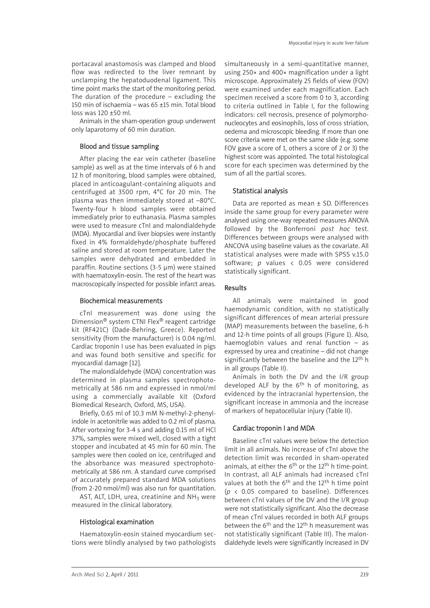portacaval anastomosis was clamped and blood flow was redirected to the liver remnant by unclamping the hepatoduodenal ligament. This time point marks the start of the monitoring period. The duration of the procedure – excluding the 150 min of ischaemia – was 65 ±15 min. Total blood  $\log s$  was 120  $+50$  ml.

Animals in the sham-operation group underwent only laparotomy of 60 min duration.

# Blood and tissue sampling

After placing the ear vein catheter (baseline sample) as well as at the time intervals of 6 h and 12 h of monitoring, blood samples were obtained, placed in anticoagulant-containing aliquots and centrifuged at 3500 rpm, 4°C for 20 min. The plasma was then immediately stored at –80°C. Twenty-four h blood samples were obtained immediately prior to euthanasia. Plasma samples were used to measure cTnI and malondialdehyde (MDA). Myocardial and liver biopsies were instantly fixed in 4% formaldehyde/phosphate buffered saline and stored at room temperature. Later the samples were dehydrated and embedded in paraffin. Routine sections (3-5 μm) were stained with haematoxylin-eosin. The rest of the heart was macroscopically inspected for possible infarct areas.

# Biochemical measurements

cTnI measurement was done using the Dimension® system CTNI Flex® reagent cartridge kit (RF421C) (Dade-Behring, Greece). Reported sensitivity (from the manufacturer) is 0.04 ng/ml. Cardiac troponin I use has been evaluated in pigs and was found both sensitive and specific for myocardial damage [12].

The malondialdehyde (MDA) concentration was determined in plasma samples spectrophotometrically at 586 nm and expressed in nmol/ml using a commercially available kit (Oxford Biomedical Research, Oxford, MS, USA).

Briefly, 0.65 ml of 10.3 mM N-methyl-2-phenylindole in acetonitrile was added to 0.2 ml of plasma. After vortexing for 3-4 s and adding 0.15 ml of HCl 37%, samples were mixed well, closed with a tight stopper and incubated at 45 min for 60 min. The samples were then cooled on ice, centrifuged and the absorbance was measured spectrophotometrically at 586 nm. A standard curve comprised of accurately prepared standard MDA solutions (from 2-20 nmol/ml) was also run for quantitation.

AST, ALT, LDH, urea, creatinine and  $NH<sub>3</sub>$  were measured in the clinical laboratory.

# Histological examination

Haematoxylin-eosin stained myocardium sec tions were blindly analysed by two pathologists simultaneously in a semi-quantitative manner, using 250× and 400× magnification under a light microscope. Approximately 25 fields of view (FOV) were examined under each magnification. Each specimen received a score from 0 to 3, according to criteria outlined in Table I, for the following indicators: cell necrosis, presence of polymorphonucleocytes and eosinophils, loss of cross striation, oedema and microscopic bleeding. If more than one score criteria were met on the same slide (e.g. some FOV gave a score of 1, others a score of 2 or 3) the highest score was appointed. The total histological score for each specimen was determined by the sum of all the partial scores.

# Statistical analysis

Data are reported as mean ± SD. Differences inside the same group for every parameter were analysed using one-way repeated measures ANOVA followed by the Bonferroni *post hoc* test. Differences between groups were analysed with ANCOVA using baseline values as the covariate. All statistical analyses were made with SPSS v.15.0 software; *p* values < 0.05 were considered statistically significant.

# Results

All animals were maintained in good haemodynamic condition, with no statistically significant differences of mean arterial pressure (MAP) measurements between the baseline, 6-h and 12-h time points of all groups (Figure 1). Also, haemoglobin values and renal function – as expressed by urea and creatinine – did not change significantly between the baseline and the 12<sup>th</sup> h in all groups (Table II).

Animals in both the DV and the I/R group developed ALF by the  $6<sup>th</sup>$  h of monitoring, as evidenced by the intracranial hypertension, the significant increase in ammonia and the increase of markers of hepatocellular injury (Table II).

# Cardiac troponin I and MDA

Baseline cTnI values were below the detection limit in all animals. No increase of cTnI above the detection limit was recorded in sham-operated animals, at either the  $6<sup>th</sup>$  or the 12<sup>th</sup> h time-point. In contrast, all ALF animals had increased cTnI values at both the  $6<sup>th</sup>$  and the 12<sup>th</sup> h time point (*p* < 0.05 compared to baseline). Differences between cTnI values of the DV and the I/R group were not statistically significant. Also the decrease of mean cTnI values recorded in both ALF groups between the  $6<sup>th</sup>$  and the 12<sup>th</sup> h measurement was not statistically significant (Table III). The malondialdehyde levels were significantly increased in DV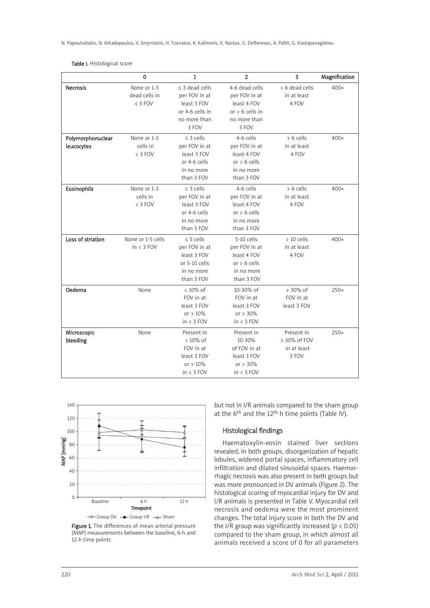N. Papoutsidakis, N. Arkadopoulos, V. Smyrniotis, H. Tzanatos, K. Kalimeris, K. Nastos, G. Defterevos, A. Pafiti, G. Kostopanagiotou

### Table I. Histological score

|                   | 0                 | $\mathbf{1}$        | $\overline{2}$    | $\overline{\mathbf{3}}$ | Magnification |
|-------------------|-------------------|---------------------|-------------------|-------------------------|---------------|
| <b>Necrosis</b>   | None or 1-3       | $\leq$ 3 dead cells | 4-6 dead cells    | > 6 dead cells          | $400\times$   |
|                   | dead cells in     | per FOV in at       | per FOV in at     | in at least             |               |
|                   | < 3 FOV           | least 3 FOV         | least 4 FOV       | 4 FOV                   |               |
|                   |                   | or 4-6 cells in     | or $> 6$ cells in |                         |               |
|                   |                   | no more than        | no more than      |                         |               |
|                   |                   | 3 FOV               | 3 FOV             |                         |               |
| Polymorphonuclear | None or 1-3       | $\leq$ 3 cells      | 4-6 cells         | $> 6$ cells             | $400\times$   |
| leucocytes        | cells in          | per FOV in at       | per FOV in at     | in at least             |               |
|                   | < 3 FOV           | least 3 FOV         | least 4 FOV       | 4 FOV                   |               |
|                   |                   | or 4-6 cells        | or $> 6$ cells    |                         |               |
|                   |                   | in no more          | in no more        |                         |               |
|                   |                   | than 3 FOV          | than 3 FOV        |                         |               |
| Eosinophils       | None or 1-3       | $\leq$ 3 cells      | 4-6 cells         | $> 6$ cells             | $400\times$   |
|                   | cells in          | per FOV in at       | per FOV in at     | in at least             |               |
|                   | < 3 FOV           | least 3 FOV         | least 4 FOV       | 4 FOV                   |               |
|                   |                   | or 4-6 cells        | or $> 6$ cells    |                         |               |
|                   |                   | in no more          | in no more        |                         |               |
|                   |                   | than 3 FOV          | than 3 FOV        |                         |               |
| Loss of striation | None or 1-5 cells | $\leq$ 5 cells      | 5-10 cells        | $>10$ cells             | $400\times$   |
|                   | $in < 3$ FOV      | per FOV in at       | per FOV in at     | in at least             |               |
|                   |                   | least 3 FOV         | least 4 FOV       | 4 FOV                   |               |
|                   |                   | or 5-10 cells       | or $> 6$ cells    |                         |               |
|                   |                   | in no more          | in no more        |                         |               |
|                   |                   | than 3 FOV          | than 3 FOV        |                         |               |
| Oedema            | None              | $< 10\%$ of         | 10-30% of         | > 30% of                | $250\times$   |
|                   |                   | FOV in at           | FOV in at         | FOV in at               |               |
|                   |                   | least 3 FOV         | least 3 FOV       | least 3 FOV             |               |
|                   |                   | or $>10\%$          | or $> 30\%$       |                         |               |
|                   |                   | $in < 3$ FOV        | $in < 3$ FOV      |                         |               |
| Microscopic       | None              | Present in          | Present in        | Present in              | $250\times$   |
| bleeding          |                   | $< 10\%$ of         | 10-30%            | > 30% of FOV            |               |
|                   |                   | FOV in at           | of FOV in at      | in at least             |               |
|                   |                   | least 3 FOV         | least 3 FOV       | 3 FOV                   |               |
|                   |                   | or $>10\%$          | or $> 30\%$       |                         |               |
|                   |                   | $in < 3$ FOV        | $in < 3$ FOV      |                         |               |



Figure 1. The differences of mean arterial pressure (MAP) measurements between the baseline, 6-h and 12-h time points

but not in I/R animals compared to the sham group at the  $6<sup>th</sup>$  and the 12<sup>th</sup> h time points (Table IV).

# Histological findings

Haematoxylin-eosin stained liver sections revealed, in both groups, disorganization of hepatic lobules, widened portal spaces, inflammatory cell infiltration and dilated sinusoidal spaces. Haemorrhagic necrosis was also present in both groups but was more pronounced in DV animals (Figure 2). The histological scoring of myocardial injury for DV and I/R animals is presented in Table V. Myocardial cell necrosis and oedema were the most prominent changes. The total injury score in both the DV and the I/R group was significantly increased (*p* < 0.05) compared to the sham group, in which almost all animals received a score of 0 for all parameters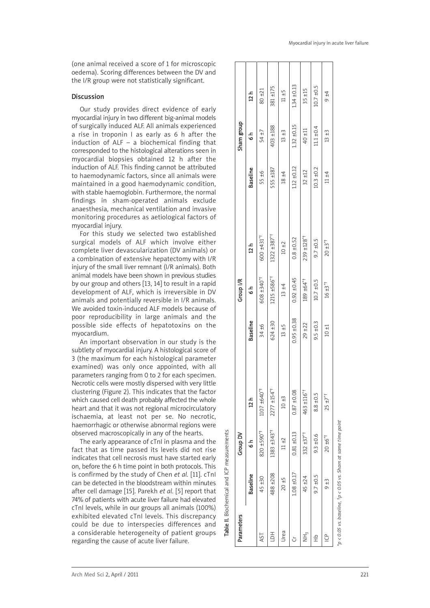(one animal received a score of 1 for microscopic oedema). Scoring differences between the DV and the I/R group were not statistically significant.

### Discussion

Our study provides direct evidence of early myocardial injury in two different big-animal models of surgically induced ALF. All animals experienced a rise in troponin I as early as 6 h after the induction of  $ALF - a$  biochemical finding that corresponded to the histological alterations seen in myocardial biopsies obtained 12 h after the induction of ALF. This finding cannot be attributed to haemodynamic factors, since all animals were maintained in a good haemodynamic condition, with stable haemoglobin. Furthermore, the normal findings in sham-operated animals exclude anaesthesia, mechanical ventilation and invasive monitoring procedures as aetiological factors of myocardial injury.

For this study we selected two established surgical models of ALF which involve either complete liver devascularization (DV animals) or a combination of extensive hepatectomy with I/R injury of the small liver remnant (I/R animals). Both animal models have been shown in previous studies by our group and others [13, 14] to result in a rapid development of ALF, which is irreversible in DV animals and potentially reversible in I/R animals. We avoided toxin-induced ALF models because of poor reproducibility in large animals and the possible side effects of hepatotoxins on the myocardium. of surgically induced ALF. All animals experienced<br>and a rise in troponin 1 as early as 6 h after the<br>induction of ALF - a biochemical finding that<br>myocardial biopsies obtained 12 h after the<br>myocardial biopsies obtained

An important observation in our study is the subtlety of myocardial injury. A histological score of 3 (the maximum for each histological parameter examined) was only once appointed, with all parameters ranging from 0 to 2 for each specimen. Necrotic cells were mostly dispersed with very little clustering (Figure 2). This indicates that the factor which caused cell death probably affected the whole heart and that it was not regional microcirculatory ischaemia, at least not per se. No necrotic, haemorrhagic or otherwise abnormal regions were observed macroscopically in any of the hearts.

The early appearance of cTnI in plasma and the fact that as time passed its levels did not rise indicates that cell necrosis must have started early on, before the 6 h time point in both protocols. This is confirmed by the study of Chen *et al.* [11]. cTnI can be detected in the bloodstream within minutes after cell damage [15]. Parekh *et al.* [5] report that 74% of patients with acute liver failure had elevated cTnI levels, while in our groups all animals (100%) exhibited elevated cTnI levels. This discrepancy could be due to interspecies differences and a considerable heterogeneity of patient groups

Table II. Biochemical and ICP measurements

| Parameters                                                       |                 | Group DV        |                          |                 | Group I/R                 |                            |                 | Sham group      |                 |  |
|------------------------------------------------------------------|-----------------|-----------------|--------------------------|-----------------|---------------------------|----------------------------|-----------------|-----------------|-----------------|--|
|                                                                  | <b>Baseline</b> | $\frac{1}{6}$   | 12 h                     | <b>Baseline</b> | $\frac{1}{6}$             | 12 h                       | <b>Baseline</b> | 6 م<br>م        | 12 h            |  |
| ΑSΤ                                                              | 45 ±30          | *0657 028       | 1107 ±640*               | 34 ±6           | 608 ±340 <sup>*+</sup>    | 600 ±431*                  | 55 ±6           | 54 ±7           | $80 + 21$       |  |
| HQ1                                                              | 488 ±208        | 1383 ±343*+     | 2277 ±154 <sup>*†</sup>  | 624 ±30         | $1215 + 586$ <sup>*</sup> | $1322 + 387$ <sup>*+</sup> | 555 ±187        | 403 ±188        | 381 ±175        |  |
| Urea                                                             | $20 + 5$        | $11 + 2$        | $10 + 3$                 | $13 + 5$        | $13 + 4$                  | $10 \pm 2$                 | $18 + 4$        | $13 + 3$        | $11 + 5$        |  |
| Ğ                                                                | $1.08 + 0.17$   | $0.81 \pm 0.13$ | $0.87 + 0.08$            | $0.95 \pm 0.38$ | $0.92 \pm 0.45$           | $0.8 \pm 0.52$             | $1.12 \pm 0.12$ | $1.32 \pm 0.15$ | $1.34 \pm 0.13$ |  |
| I<br>I<br>Z                                                      | 45 ±24          | $332 + 37**$    | 463 ±116 <sup>*†</sup>   | $29 + 22$       | $189 + 64$ <sup>*</sup>   | 239 ±128 <sup>*†</sup>     | $32 \pm 12$     | $40 + 11$       | $35 + 15$       |  |
| $\frac{1}{1}$                                                    | $9.7 \pm 0.5$   | $9.3 \pm 0.6$   | 8.8 ± 0.5                | $9.5 \pm 0.3$   | $10.7 \pm 0.5$            | $9.7 \pm 0.5$              | $10.3 + 0.2$    | $11.1 \pm 0.4$  | $10.7 \pm 0.5$  |  |
| $\frac{a}{b}$                                                    | $\frac{13}{2}$  | $20 \pm 6^{*+}$ | $25 \pm 7$ <sup>*†</sup> | $10 + 1$        | $16 + 3$ <sup>*†</sup>    | $20 + 3^{*}$               | $11 \pm 4$      | $13 + 3$        | $9 + 4$         |  |
| $p$ < 0.05 vs. baseline, $tp$ < 0.05 vs. Sham at same time point |                 |                 |                          |                 |                           |                            |                 |                 |                 |  |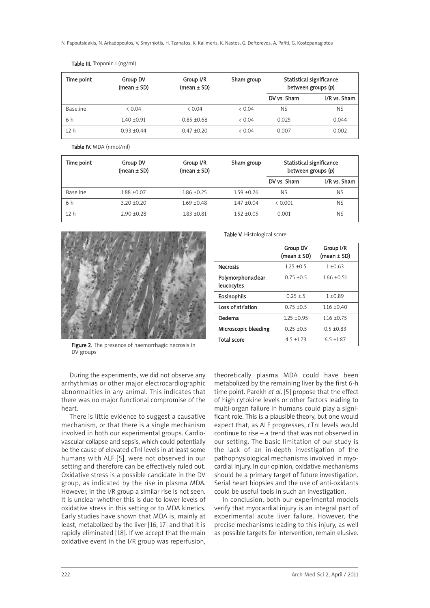N. Papoutsidakis, N. Arkadopoulos, V. Smyrniotis, H. Tzanatos, K. Kalimeris, K. Nastos, G. Defterevos, A. Pafiti, G. Kostopanagiotou

| Time point      | Group DV<br>$(mean \pm SD)$ | Group I/R<br>$(mean \pm SD)$ | Sham group |             | Statistical significance<br>between groups (p) |
|-----------------|-----------------------------|------------------------------|------------|-------------|------------------------------------------------|
|                 |                             |                              |            | DV vs. Sham | I/R vs. Sham                                   |
| <b>Baseline</b> | & 0.04                      | & 0.04                       | & 0.04     | <b>NS</b>   | <b>NS</b>                                      |
| 6 h             | $1.40 + 0.91$               | $0.85 + 0.68$                | & 0.04     | 0.025       | 0.044                                          |
| 12 h            | $0.93 + 0.44$               | $0.47 + 0.20$                | & 0.04     | 0.007       | 0.002                                          |

Table III. Troponin I (ng/ml)

Table IV. MDA (nmol/ml)

| Time point      | Group DV<br>$(mean \pm SD)$ | Group I/R<br>(mean $\pm$ SD) | Sham group      | Statistical significance<br>between groups (p) |              |
|-----------------|-----------------------------|------------------------------|-----------------|------------------------------------------------|--------------|
|                 |                             |                              |                 | DV vs. Sham                                    | I/R vs. Sham |
| Baseline        | $1.88 \pm 0.07$             | $1.86 + 0.25$                | $1.59 + 0.26$   | <b>NS</b>                                      | <b>NS</b>    |
| 6 h             | $3.20 + 0.20$               | $1.69 + 0.48$                | $1.47 \pm 0.04$ | & 0.001                                        | <b>NS</b>    |
| 12 <sub>h</sub> | $2.90 + 0.28$               | $1.83 + 0.81$                | $1.52 + 0.05$   | 0.001                                          | <b>NS</b>    |

leucocytes



Figure 2. The presence of haemorrhagic necrosis in DV groups

During the experiments, we did not observe any arrhythmias or other major electrocardiographic abnormalities in any animal. This indicates that there was no major functional compromise of the heart.

There is little evidence to suggest a causative mechanism, or that there is a single mechanism involved in both our experimental groups. Cardiovascular collapse and sepsis, which could potentially be the cause of elevated cTnI levels in at least some humans with ALF [5], were not observed in our setting and therefore can be effectively ruled out. Oxidative stress is a possible candidate in the DV group, as indicated by the rise in plasma MDA. However, in the I/R group a similar rise is not seen. It is unclear whether this is due to lower levels of oxidative stress in this setting or to MDA kinetics. Early studies have shown that MDA is, mainly at least, metabolized by the liver [16, 17] and that it is rapidly eliminated [18]. If we accept that the main oxidative event in the I/R group was reperfusion,

theoretically plasma MDA could have been metabolized by the remaining liver by the first 6-h time point. Parekh *et al*. [5] propose that the effect of high cytokine levels or other factors leading to multi-organ failure in humans could play a significant role. This is a plausible theory, but one would expect that, as ALF progresses, cTnI levels would continue to rise – a trend that was not observed in our setting. The basic limitation of our study is the lack of an in-depth investigation of the pathophysiological mechanisms involved in myocardial injury. In our opinion, oxidative mechanisms should be a primary target of future investigation. Serial heart biopsies and the use of anti-oxidants could be useful tools in such an investigation.

Group DV Group I/R  $(mean ± SD)$   $(mean ± SD)$ 

Necrosis  $1.25 + 0.5$   $1 + 0.63$ Polymorphonuclear  $0.75 \pm 0.5$   $1.66 \pm 0.51$ 

Table V. Histological score

**Eosinophils**  $0.25 \pm .5$   $1 \pm 0.89$ Loss of striation  $0.75 \pm 0.5$   $1.16 \pm 0.40$ **Oedema** 1.25 ±0.95 1.16 ±0.75 Microscopic bleeding  $0.25 \pm 0.5$  0.5  $\pm 0.83$ Total score 4.5 ±1.73 6.5 ±1.87

In conclusion, both our experimental models verify that myocardial injury is an integral part of experimental acute liver failure. However, the precise mechanisms leading to this injury, as well as possible targets for intervention, remain elusive.